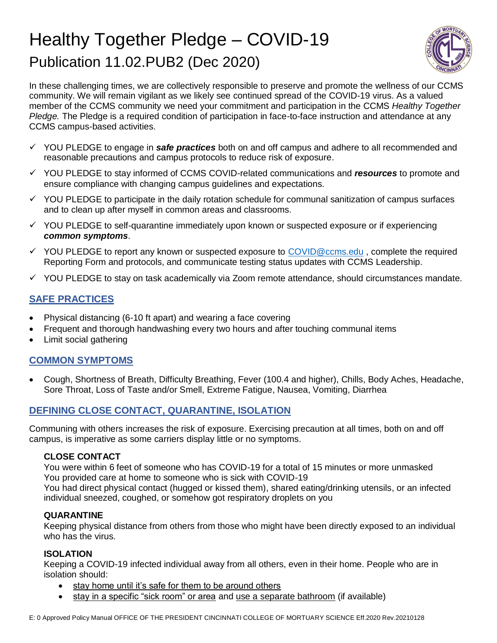## Healthy Together Pledge – COVID-19 Publication 11.02.PUB2 (Dec 2020)



In these challenging times, we are collectively responsible to preserve and promote the wellness of our CCMS community. We will remain vigilant as we likely see continued spread of the COVID-19 virus. As a valued member of the CCMS community we need your commitment and participation in the CCMS *Healthy Together Pledge.* The Pledge is a required condition of participation in face-to-face instruction and attendance at any CCMS campus-based activities.

- YOU PLEDGE to engage in *safe practices* both on and off campus and adhere to all recommended and reasonable precautions and campus protocols to reduce risk of exposure.
- YOU PLEDGE to stay informed of CCMS COVID-related communications and *resources* to promote and ensure compliance with changing campus guidelines and expectations.
- $\checkmark$  YOU PLEDGE to participate in the daily rotation schedule for communal sanitization of campus surfaces and to clean up after myself in common areas and classrooms.
- $\checkmark$  YOU PLEDGE to self-quarantine immediately upon known or suspected exposure or if experiencing *common symptoms*.
- $\checkmark$  YOU PLEDGE to report any known or suspected exposure to [COVID@ccms.edu](mailto:COVID@ccms.edu), complete the required Reporting Form and protocols, and communicate testing status updates with CCMS Leadership.
- $\checkmark$  YOU PLEDGE to stay on task academically via Zoom remote attendance, should circumstances mandate.

## **SAFE PRACTICES**

- Physical distancing (6-10 ft apart) and wearing a face covering
- Frequent and thorough handwashing every two hours and after touching communal items
- Limit social gathering

## **COMMON SYMPTOMS**

 Cough, Shortness of Breath, Difficulty Breathing, Fever (100.4 and higher), Chills, Body Aches, Headache, Sore Throat, Loss of Taste and/or Smell, Extreme Fatigue, Nausea, Vomiting, Diarrhea

## **DEFINING CLOSE CONTACT, QUARANTINE, ISOLATION**

Communing with others increases the risk of exposure. Exercising precaution at all times, both on and off campus, is imperative as some carriers display little or no symptoms.

## **CLOSE CONTACT**

You were within 6 feet of someone who has COVID-19 for a total of 15 minutes or more unmasked You provided care at home to someone who is sick with COVID-19

You had direct physical contact (hugged or kissed them), shared eating/drinking utensils, or an infected individual sneezed, coughed, or somehow got respiratory droplets on you

## **QUARANTINE**

Keeping physical distance from others from those who might have been directly exposed to an individual who has the virus.

## **ISOLATION**

Keeping a COVID-19 infected individual away from all others, even in their home. People who are in isolation should:

- stay home until it's safe for them to be around others
- stay in a specific "sick room" or area and use a separate bathroom (if available)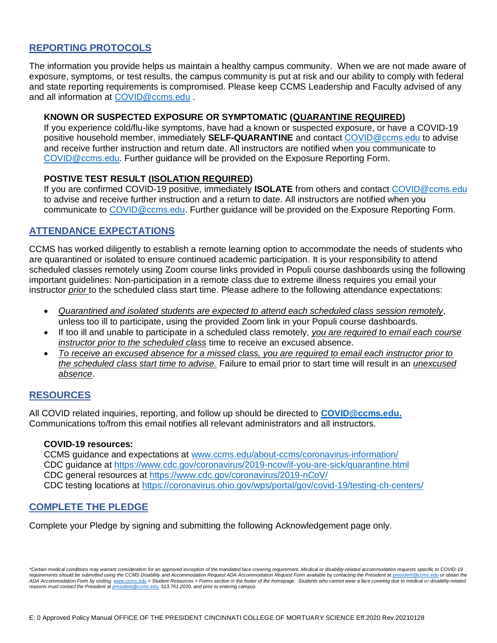## **REPORTING PROTOCOLS**

The information you provide helps us maintain a healthy campus community. When we are not made aware of exposure, symptoms, or test results, the campus community is put at risk and our ability to comply with federal and state reporting requirements is compromised. Please keep CCMS Leadership and Faculty advised of any and all information at [COVID@ccms.edu](mailto:COVID@ccms.edu) .

#### **KNOWN OR SUSPECTED EXPOSURE OR SYMPTOMATIC (QUARANTINE REQUIRED)**

If you experience cold/flu-like symptoms, have had a known or suspected exposure, or have a COVID-19 positive household member, immediately **SELF-QUARANTINE** and contact [COVID@ccms.edu](mailto:COVID@ccms.edu) to advise and receive further instruction and return date. All instructors are notified when you communicate to [COVID@ccms.edu.](mailto:COVID@ccms.edu) Further guidance will be provided on the Exposure Reporting Form.

#### **POSTIVE TEST RESULT (ISOLATION REQUIRED)**

If you are confirmed COVID-19 positive, immediately **ISOLATE** from others and contact [COVID@ccms.edu](mailto:COVID@ccms.edu) to advise and receive further instruction and a return to date. All instructors are notified when you communicate to [COVID@ccms.edu.](mailto:COVID@ccms.edu) Further guidance will be provided on the Exposure Reporting Form.

#### **ATTENDANCE EXPECTATIONS**

CCMS has worked diligently to establish a remote learning option to accommodate the needs of students who are quarantined or isolated to ensure continued academic participation. It is your responsibility to attend scheduled classes remotely using Zoom course links provided in Populi course dashboards using the following important guidelines: Non-participation in a remote class due to extreme illness requires you email your instructor *prior* to the scheduled class start time. Please adhere to the following attendance expectations:

- *Quarantined and isolated students are expected to attend each scheduled class session remotely*, unless too ill to participate, using the provided Zoom link in your Populi course dashboards.
- If too ill and unable to participate in a scheduled class remotely, *you are required to email each course instructor prior to the scheduled class* time to receive an excused absence.
- *To receive an excused absence for a missed class, you are required to email each instructor prior to the scheduled class start time to advise.* Failure to email prior to start time will result in an *unexcused absence*.

## **RESOURCES**

All COVID related inquiries, reporting, and follow up should be directed to **[COVID@ccms.edu.](mailto:COVID@ccms.edu)** Communications to/from this email notifies all relevant administrators and all instructors.

#### **COVID-19 resources:**

CCMS guidance and expectations at [www.ccms.edu/about-ccms/coronavirus-information/](http://www.ccms.edu/about-ccms/coronavirus-information/) CDC guidance at<https://www.cdc.gov/coronavirus/2019-ncov/if-you-are-sick/quarantine.html> CDC general resources at<https://www.cdc.gov/coronavirus/2019-nCoV/> CDC testing locations at<https://coronavirus.ohio.gov/wps/portal/gov/covid-19/testing-ch-centers/>

#### **COMPLETE THE PLEDGE**

Complete your Pledge by signing and submitting the following Acknowledgement page only.

*<sup>\*</sup>Certain medical conditions may warrant consideration for an approved exception of the mandated face covering requirement. Medical or disability-related accommodation requests specific to COVID-19 requirements should be submitted using the CCMS Disability and Accommodation Request ADA Accommodation Request Form available by contacting the President a[t president@ccms.edu](mailto:president@ccms.edu) or obtain the ADA Accommodation Form by visiting [www.ccms.edu](http://www.ccms.edu/) > Student Resources > Forms section in the footer of the homepage. Students who cannot wear a face covering due to medical or disability-related reasons must contact the President a[t president@ccms.edu,](mailto:president@ccms.edu) 513.761.2020, and prior to entering campus.*